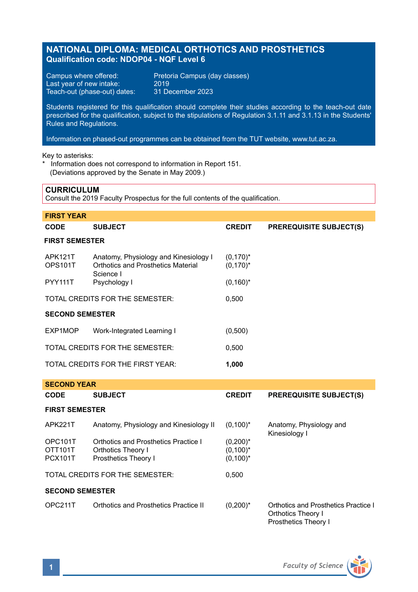# **NATIONAL DIPLOMA: MEDICAL ORTHOTICS AND PROSTHETICS Qualification code: NDOP04 - NQF Level 6**

Campus where offered: Pretoria Campus (day classes)<br>Last year of new intake: 2019 Last year of new intake: 2019<br>Teach-out (phase-out) dates: 31 December 2023 Teach-out (phase-out) dates:

Students registered for this qualification should complete their studies according to the teach-out date prescribed for the qualification, subject to the stipulations of Regulation 3.1.11 and 3.1.13 in the Students' Rules and Regulations.

Information on phased-out programmes can be obtained from the TUT website, www.tut.ac.za.

Key to asterisks:

\* Information does not correspond to information in Report 151. (Deviations approved by the Senate in May 2009.)

## **CURRICULUM**

Consult the 2019 Faculty Prospectus for the full contents of the qualification.

| <b>FIRST YEAR</b>                          |                                                                                          |                            |                                |  |  |  |
|--------------------------------------------|------------------------------------------------------------------------------------------|----------------------------|--------------------------------|--|--|--|
| <b>CODE</b>                                | <b>SUBJECT</b>                                                                           | <b>CREDIT</b>              | <b>PREREQUISITE SUBJECT(S)</b> |  |  |  |
| <b>FIRST SEMESTER</b>                      |                                                                                          |                            |                                |  |  |  |
| APK121T<br>OPS101T                         | Anatomy, Physiology and Kinesiology I<br>Orthotics and Prosthetics Material<br>Science I | $(0,170)^*$<br>$(0,170)^*$ |                                |  |  |  |
| <b>PYY111T</b>                             | Psychology I                                                                             | $(0,160)^*$                |                                |  |  |  |
| TOTAL CREDITS FOR THE SEMESTER:            |                                                                                          | 0.500                      |                                |  |  |  |
| <b>SECOND SEMESTER</b>                     |                                                                                          |                            |                                |  |  |  |
| EXP1MOP                                    | Work-Integrated Learning I                                                               | (0,500)                    |                                |  |  |  |
| TOTAL CREDITS FOR THE SEMESTER:            |                                                                                          | 0.500                      |                                |  |  |  |
| TOTAL CREDITS FOR THE FIRST YEAR:<br>1,000 |                                                                                          |                            |                                |  |  |  |

| <b>SECOND YEAR</b>     |                                        |               |                                                                                           |
|------------------------|----------------------------------------|---------------|-------------------------------------------------------------------------------------------|
| <b>CODE</b>            | <b>SUBJECT</b>                         | <b>CREDIT</b> | <b>PREREQUISITE SUBJECT(S)</b>                                                            |
| <b>FIRST SEMESTER</b>  |                                        |               |                                                                                           |
| APK221T                | Anatomy, Physiology and Kinesiology II | $(0,100)^*$   | Anatomy, Physiology and<br>Kinesiology I                                                  |
| OPC <sub>101</sub> T   | Orthotics and Prosthetics Practice I   | $(0,200)^*$   |                                                                                           |
| OTT <sub>101</sub> T   | <b>Orthotics Theory I</b>              | $(0,100)^*$   |                                                                                           |
| <b>PCX101T</b>         | Prosthetics Theory I                   | $(0,100)^*$   |                                                                                           |
|                        | TOTAL CREDITS FOR THE SEMESTER:        | 0.500         |                                                                                           |
| <b>SECOND SEMESTER</b> |                                        |               |                                                                                           |
| OPC211T                | Orthotics and Prosthetics Practice II  | $(0,200)^*$   | Orthotics and Prosthetics Practice I<br><b>Orthotics Theory I</b><br>Prosthetics Theory I |

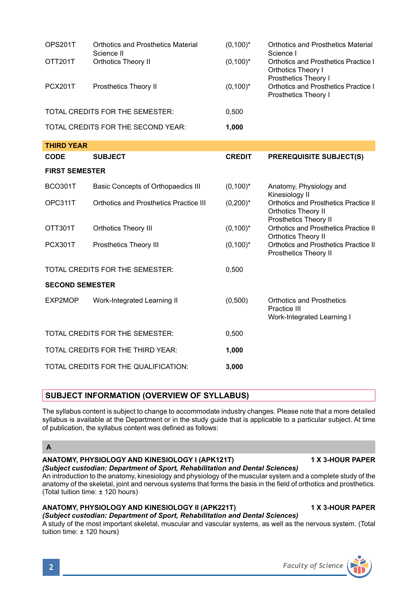|                                 | Science II                             |               | Science I                                                                                    |
|---------------------------------|----------------------------------------|---------------|----------------------------------------------------------------------------------------------|
| OTT201T                         | Orthotics Theory II                    | $(0,100)^*$   | <b>Orthotics and Prosthetics Practice I</b><br>Orthotics Theory I<br>Prosthetics Theory I    |
| <b>PCX201T</b>                  | Prosthetics Theory II                  | $(0,100)^*$   | Orthotics and Prosthetics Practice I<br>Prosthetics Theory I                                 |
|                                 | TOTAL CREDITS FOR THE SEMESTER:        | 0.500         |                                                                                              |
|                                 | TOTAL CREDITS FOR THE SECOND YEAR:     | 1,000         |                                                                                              |
| <b>THIRD YEAR</b>               |                                        |               |                                                                                              |
| CODE                            | <b>SUBJECT</b>                         | <b>CREDIT</b> | <b>PREREQUISITE SUBJECT(S)</b>                                                               |
| <b>FIRST SEMESTER</b>           |                                        |               |                                                                                              |
| <b>BCO301T</b>                  | Basic Concepts of Orthopaedics III     | $(0,100)^*$   | Anatomy, Physiology and<br>Kinesiology II                                                    |
| OPC311T                         | Orthotics and Prosthetics Practice III | $(0,200)^*$   | Orthotics and Prosthetics Practice II<br><b>Orthotics Theory II</b><br>Prosthetics Theory II |
| OTT301T                         | <b>Orthotics Theory III</b>            | $(0,100)^*$   | <b>Orthotics and Prosthetics Practice II</b><br><b>Orthotics Theory II</b>                   |
| <b>PCX301T</b>                  | Prosthetics Theory III                 | $(0,100)^*$   | <b>Orthotics and Prosthetics Practice II</b><br>Prosthetics Theory II                        |
|                                 | TOTAL CREDITS FOR THE SEMESTER:        | 0,500         |                                                                                              |
| <b>SECOND SEMESTER</b>          |                                        |               |                                                                                              |
| EXP2MOP                         | Work-Integrated Learning II            | (0,500)       | Orthotics and Prosthetics<br>Practice III<br>Work-Integrated Learning I                      |
| TOTAL CREDITS FOR THE SEMESTER: |                                        | 0.500         |                                                                                              |

OPS201T Orthotics and Prosthetics Material (0,100)\* Orthotics and Prosthetics Material

**SUBJECT INFORMATION (OVERVIEW OF SYLLABUS)** 

TOTAL CREDITS FOR THE THIRD YEAR: **1,000** TOTAL CREDITS FOR THE QUALIFICATION: **3,000**

The syllabus content is subject to change to accommodate industry changes. Please note that a more detailed syllabus is available at the Department or in the study guide that is applicable to a particular subject. At time of publication, the syllabus content was defined as follows:

## **A**

## **ANATOMY, PHYSIOLOGY AND KINESIOLOGY I (APK121T) 1 X 3-HOUR PAPER**

*(Subject custodian: Department of Sport, Rehabilitation and Dental Sciences)* An introduction to the anatomy, kinesiology and physiology of the muscular system and a complete study of the anatomy of the skeletal, joint and nervous systems that forms the basis in the field of orthotics and prosthetics. (Total tuition time: ± 120 hours)

# **ANATOMY, PHYSIOLOGY AND KINESIOLOGY II (APK221T) 1 X 3-HOUR PAPER**

## *(Subject custodian: Department of Sport, Rehabilitation and Dental Sciences)*

A study of the most important skeletal, muscular and vascular systems, as well as the nervous system. (Total tuition time: ± 120 hours)

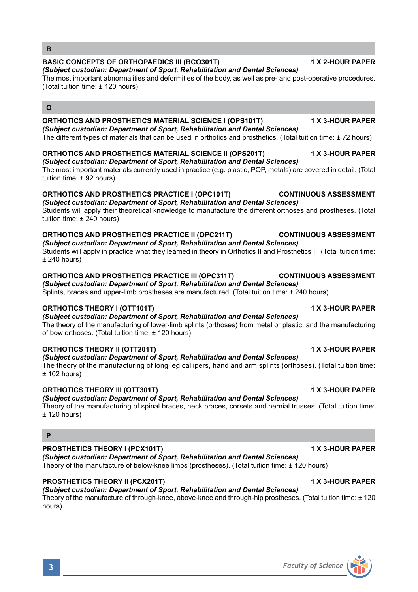*(Subject custodian: Department of Sport, Rehabilitation and Dental Sciences)*

The theory of the manufacturing of lower-limb splints (orthoses) from metal or plastic, and the manufacturing of bow orthoses. (Total tuition time: ± 120 hours)

# **ORTHOTICS THEORY II (OTT201T) 1 X 3-HOUR PAPER**

*(Subject custodian: Department of Sport, Rehabilitation and Dental Sciences)* The theory of the manufacturing of long leg callipers, hand and arm splints (orthoses). (Total tuition time:  $± 102$  hours)

# **ORTHOTICS THEORY III (OTT301T) 1 X 3-HOUR PAPER**

# *(Subject custodian: Department of Sport, Rehabilitation and Dental Sciences)*

Theory of the manufacturing of spinal braces, neck braces, corsets and hernial trusses. (Total tuition time:  $± 120$  hours)

## **P**

# **PROSTHETICS THEORY I (PCX101T) 1 X 3-HOUR PAPER**

*(Subject custodian: Department of Sport, Rehabilitation and Dental Sciences)* Theory of the manufacture of below-knee limbs (prostheses). (Total tuition time: ± 120 hours)

# **PROSTHETICS THEORY II (PCX201T) 1 X 3-HOUR PAPER**

*(Subject custodian: Department of Sport, Rehabilitation and Dental Sciences)* Theory of the manufacture of through-knee, above-knee and through-hip prostheses. (Total tuition time: ± 120 hours)

## **ORTHOTICS AND PROSTHETICS MATERIAL SCIENCE I (OPS101T) 1 X 3-HOUR PAPER** *(Subject custodian: Department of Sport, Rehabilitation and Dental Sciences)*

The different types of materials that can be used in orthotics and prosthetics. (Total tuition time: ± 72 hours)

# **ORTHOTICS AND PROSTHETICS MATERIAL SCIENCE II (OPS201T) 1 X 3-HOUR PAPER**

The most important materials currently used in practice (e.g. plastic, POP, metals) are covered in detail. (Total

# *(Subject custodian: Department of Sport, Rehabilitation and Dental Sciences)*

tuition time: ± 92 hours)

# **ORTHOTICS AND PROSTHETICS PRACTICE I (OPC101T) CONTINUOUS ASSESSMENT**

*(Subject custodian: Department of Sport, Rehabilitation and Dental Sciences)* Students will apply their theoretical knowledge to manufacture the different orthoses and prostheses. (Total tuition time: ± 240 hours)

# **ORTHOTICS AND PROSTHETICS PRACTICE II (OPC211T) CONTINUOUS ASSESSMENT**

*(Subject custodian: Department of Sport, Rehabilitation and Dental Sciences)* Students will apply in practice what they learned in theory in Orthotics II and Prosthetics II. (Total tuition time:  $±$  240 hours)

# **ORTHOTICS AND PROSTHETICS PRACTICE III (OPC311T) CONTINUOUS ASSESSMENT**

Splints, braces and upper-limb prostheses are manufactured. (Total tuition time: ± 240 hours)

# **ORTHOTICS THEORY I (OTT101T) 1 X 3-HOUR PAPER**

*(Subject custodian: Department of Sport, Rehabilitation and Dental Sciences)*

The most important abnormalities and deformities of the body, as well as pre- and post-operative procedures. (Total tuition time: ± 120 hours)

# **BASIC CONCEPTS OF ORTHOPAEDICS III (BCO301T) 1 X 2-HOUR PAPER**



**B**

**O**